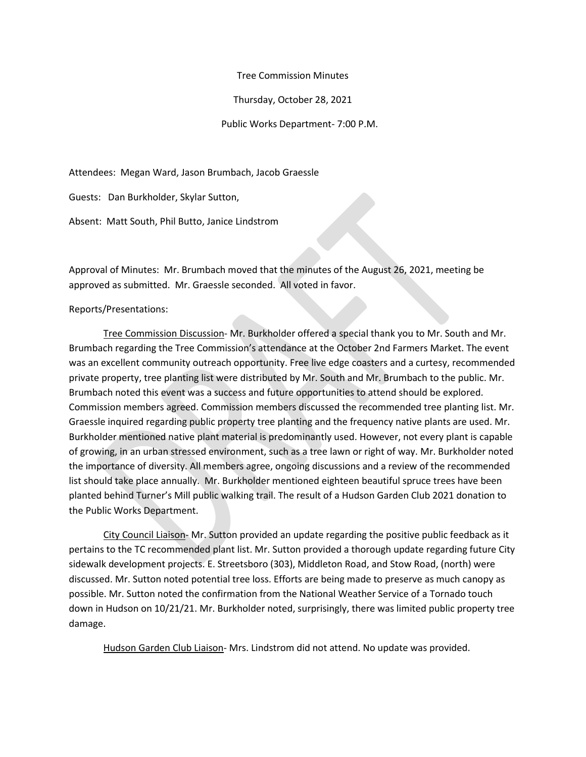Tree Commission Minutes

Thursday, October 28, 2021

Public Works Department- 7:00 P.M.

Attendees: Megan Ward, Jason Brumbach, Jacob Graessle

Guests: Dan Burkholder, Skylar Sutton,

Absent: Matt South, Phil Butto, Janice Lindstrom

Approval of Minutes: Mr. Brumbach moved that the minutes of the August 26, 2021, meeting be approved as submitted. Mr. Graessle seconded. All voted in favor.

Reports/Presentations:

Tree Commission Discussion- Mr. Burkholder offered a special thank you to Mr. South and Mr. Brumbach regarding the Tree Commission's attendance at the October 2nd Farmers Market. The event was an excellent community outreach opportunity. Free live edge coasters and a curtesy, recommended private property, tree planting list were distributed by Mr. South and Mr. Brumbach to the public. Mr. Brumbach noted this event was a success and future opportunities to attend should be explored. Commission members agreed. Commission members discussed the recommended tree planting list. Mr. Graessle inquired regarding public property tree planting and the frequency native plants are used. Mr. Burkholder mentioned native plant material is predominantly used. However, not every plant is capable of growing, in an urban stressed environment, such as a tree lawn or right of way. Mr. Burkholder noted the importance of diversity. All members agree, ongoing discussions and a review of the recommended list should take place annually. Mr. Burkholder mentioned eighteen beautiful spruce trees have been planted behind Turner's Mill public walking trail. The result of a Hudson Garden Club 2021 donation to the Public Works Department.

City Council Liaison- Mr. Sutton provided an update regarding the positive public feedback as it pertains to the TC recommended plant list. Mr. Sutton provided a thorough update regarding future City sidewalk development projects. E. Streetsboro (303), Middleton Road, and Stow Road, (north) were discussed. Mr. Sutton noted potential tree loss. Efforts are being made to preserve as much canopy as possible. Mr. Sutton noted the confirmation from the National Weather Service of a Tornado touch down in Hudson on 10/21/21. Mr. Burkholder noted, surprisingly, there was limited public property tree damage.

Hudson Garden Club Liaison- Mrs. Lindstrom did not attend. No update was provided.